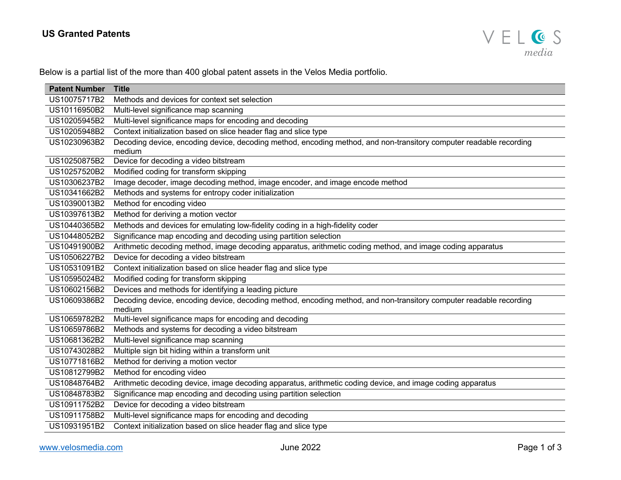## **US Granted Patents**



Below is a partial list of the more than 400 global patent assets in the Velos Media portfolio.

| <b>Patent Number</b> | <b>Title</b>                                                                                                                 |
|----------------------|------------------------------------------------------------------------------------------------------------------------------|
| US10075717B2         | Methods and devices for context set selection                                                                                |
| US10116950B2         | Multi-level significance map scanning                                                                                        |
| US10205945B2         | Multi-level significance maps for encoding and decoding                                                                      |
| US10205948B2         | Context initialization based on slice header flag and slice type                                                             |
| US10230963B2         | Decoding device, encoding device, decoding method, encoding method, and non-transitory computer readable recording<br>medium |
| US10250875B2         | Device for decoding a video bitstream                                                                                        |
| US10257520B2         | Modified coding for transform skipping                                                                                       |
| US10306237B2         | Image decoder, image decoding method, image encoder, and image encode method                                                 |
| US10341662B2         | Methods and systems for entropy coder initialization                                                                         |
| US10390013B2         | Method for encoding video                                                                                                    |
| US10397613B2         | Method for deriving a motion vector                                                                                          |
| US10440365B2         | Methods and devices for emulating low-fidelity coding in a high-fidelity coder                                               |
| US10448052B2         | Significance map encoding and decoding using partition selection                                                             |
| US10491900B2         | Arithmetic decoding method, image decoding apparatus, arithmetic coding method, and image coding apparatus                   |
| US10506227B2         | Device for decoding a video bitstream                                                                                        |
| US10531091B2         | Context initialization based on slice header flag and slice type                                                             |
| US10595024B2         | Modified coding for transform skipping                                                                                       |
| US10602156B2         | Devices and methods for identifying a leading picture                                                                        |
| US10609386B2         | Decoding device, encoding device, decoding method, encoding method, and non-transitory computer readable recording           |
|                      | medium                                                                                                                       |
| US10659782B2         | Multi-level significance maps for encoding and decoding                                                                      |
| US10659786B2         | Methods and systems for decoding a video bitstream                                                                           |
| US10681362B2         | Multi-level significance map scanning                                                                                        |
| US10743028B2         | Multiple sign bit hiding within a transform unit                                                                             |
| US10771816B2         | Method for deriving a motion vector                                                                                          |
| US10812799B2         | Method for encoding video                                                                                                    |
| US10848764B2         | Arithmetic decoding device, image decoding apparatus, arithmetic coding device, and image coding apparatus                   |
| US10848783B2         | Significance map encoding and decoding using partition selection                                                             |
| US10911752B2         | Device for decoding a video bitstream                                                                                        |
| US10911758B2         | Multi-level significance maps for encoding and decoding                                                                      |
| US10931951B2         | Context initialization based on slice header flag and slice type                                                             |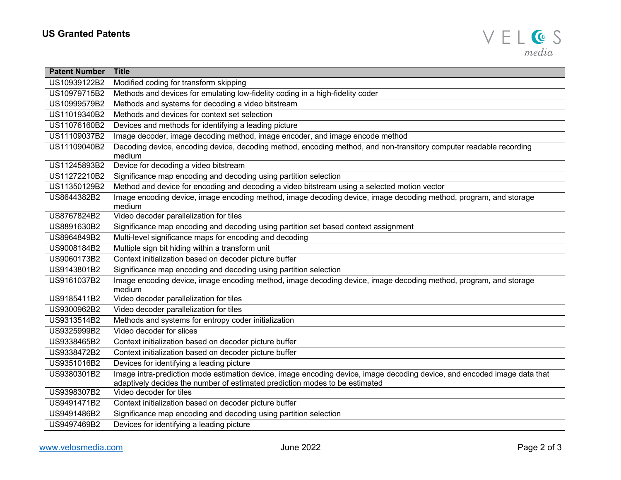

| <b>Patent Number</b> | <b>Title</b>                                                                                                                                                                                            |
|----------------------|---------------------------------------------------------------------------------------------------------------------------------------------------------------------------------------------------------|
| US10939122B2         | Modified coding for transform skipping                                                                                                                                                                  |
| US10979715B2         | Methods and devices for emulating low-fidelity coding in a high-fidelity coder                                                                                                                          |
| US10999579B2         | Methods and systems for decoding a video bitstream                                                                                                                                                      |
| US11019340B2         | Methods and devices for context set selection                                                                                                                                                           |
| US11076160B2         | Devices and methods for identifying a leading picture                                                                                                                                                   |
| US11109037B2         | Image decoder, image decoding method, image encoder, and image encode method                                                                                                                            |
| US11109040B2         | Decoding device, encoding device, decoding method, encoding method, and non-transitory computer readable recording<br>medium                                                                            |
| US11245893B2         | Device for decoding a video bitstream                                                                                                                                                                   |
| US11272210B2         | Significance map encoding and decoding using partition selection                                                                                                                                        |
| US11350129B2         | Method and device for encoding and decoding a video bitstream using a selected motion vector                                                                                                            |
| US8644382B2          | Image encoding device, image encoding method, image decoding device, image decoding method, program, and storage<br>medium                                                                              |
| US8767824B2          | Video decoder parallelization for tiles                                                                                                                                                                 |
| US8891630B2          | Significance map encoding and decoding using partition set based context assignment                                                                                                                     |
| US8964849B2          | Multi-level significance maps for encoding and decoding                                                                                                                                                 |
| US9008184B2          | Multiple sign bit hiding within a transform unit                                                                                                                                                        |
| US9060173B2          | Context initialization based on decoder picture buffer                                                                                                                                                  |
| US9143801B2          | Significance map encoding and decoding using partition selection                                                                                                                                        |
| US9161037B2          | Image encoding device, image encoding method, image decoding device, image decoding method, program, and storage<br>medium                                                                              |
| US9185411B2          | Video decoder parallelization for tiles                                                                                                                                                                 |
| US9300962B2          | Video decoder parallelization for tiles                                                                                                                                                                 |
| US9313514B2          | Methods and systems for entropy coder initialization                                                                                                                                                    |
| US9325999B2          | Video decoder for slices                                                                                                                                                                                |
| US9338465B2          | Context initialization based on decoder picture buffer                                                                                                                                                  |
| US9338472B2          | Context initialization based on decoder picture buffer                                                                                                                                                  |
| US9351016B2          | Devices for identifying a leading picture                                                                                                                                                               |
| US9380301B2          | Image intra-prediction mode estimation device, image encoding device, image decoding device, and encoded image data that<br>adaptively decides the number of estimated prediction modes to be estimated |
| US9398307B2          | Video decoder for tiles                                                                                                                                                                                 |
| US9491471B2          | Context initialization based on decoder picture buffer                                                                                                                                                  |
| US9491486B2          | Significance map encoding and decoding using partition selection                                                                                                                                        |
| US9497469B2          | Devices for identifying a leading picture                                                                                                                                                               |